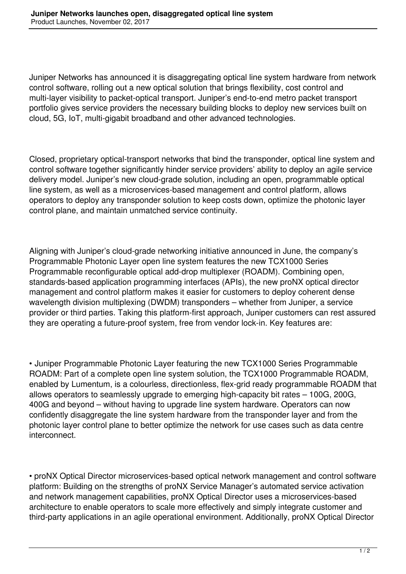Juniper Networks has announced it is disaggregating optical line system hardware from network control software, rolling out a new optical solution that brings flexibility, cost control and multi-layer visibility to packet-optical transport. Juniper's end-to-end metro packet transport portfolio gives service providers the necessary building blocks to deploy new services built on cloud, 5G, IoT, multi-gigabit broadband and other advanced technologies.

Closed, proprietary optical-transport networks that bind the transponder, optical line system and control software together significantly hinder service providers' ability to deploy an agile service delivery model. Juniper's new cloud-grade solution, including an open, programmable optical line system, as well as a microservices-based management and control platform, allows operators to deploy any transponder solution to keep costs down, optimize the photonic layer control plane, and maintain unmatched service continuity.

Aligning with Juniper's cloud-grade networking initiative announced in June, the company's Programmable Photonic Layer open line system features the new TCX1000 Series Programmable reconfigurable optical add-drop multiplexer (ROADM). Combining open, standards-based application programming interfaces (APIs), the new proNX optical director management and control platform makes it easier for customers to deploy coherent dense wavelength division multiplexing (DWDM) transponders – whether from Juniper, a service provider or third parties. Taking this platform-first approach, Juniper customers can rest assured they are operating a future-proof system, free from vendor lock-in. Key features are:

• Juniper Programmable Photonic Layer featuring the new TCX1000 Series Programmable ROADM: Part of a complete open line system solution, the TCX1000 Programmable ROADM, enabled by Lumentum, is a colourless, directionless, flex-grid ready programmable ROADM that allows operators to seamlessly upgrade to emerging high-capacity bit rates – 100G, 200G, 400G and beyond – without having to upgrade line system hardware. Operators can now confidently disaggregate the line system hardware from the transponder layer and from the photonic layer control plane to better optimize the network for use cases such as data centre interconnect.

• proNX Optical Director microservices-based optical network management and control software platform: Building on the strengths of proNX Service Manager's automated service activation and network management capabilities, proNX Optical Director uses a microservices-based architecture to enable operators to scale more effectively and simply integrate customer and third-party applications in an agile operational environment. Additionally, proNX Optical Director